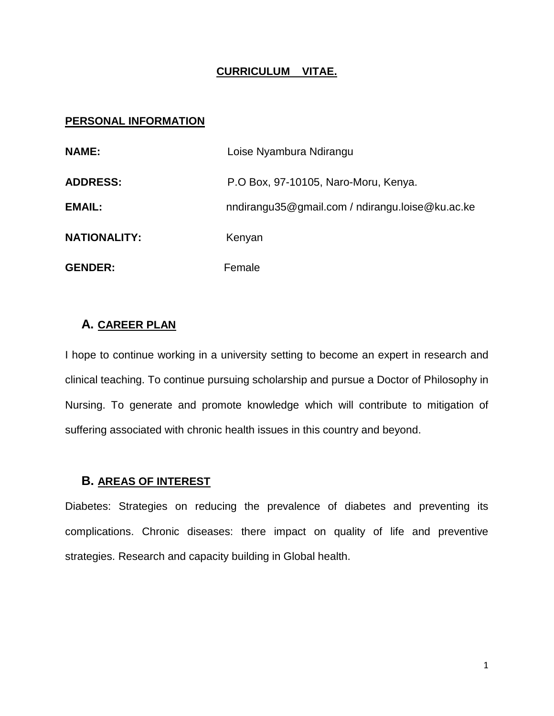#### **CURRICULUM VITAE.**

#### **PERSONAL INFORMATION**

| <b>NAME:</b>        | Loise Nyambura Ndirangu                         |
|---------------------|-------------------------------------------------|
| <b>ADDRESS:</b>     | P.O Box, 97-10105, Naro-Moru, Kenya.            |
| <b>EMAIL:</b>       | nndirangu35@gmail.com / ndirangu.loise@ku.ac.ke |
| <b>NATIONALITY:</b> | Kenyan                                          |
| <b>GENDER:</b>      | Female                                          |

#### **A. CAREER PLAN**

I hope to continue working in a university setting to become an expert in research and clinical teaching. To continue pursuing scholarship and pursue a Doctor of Philosophy in Nursing. To generate and promote knowledge which will contribute to mitigation of suffering associated with chronic health issues in this country and beyond.

#### **B. AREAS OF INTEREST**

Diabetes: Strategies on reducing the prevalence of diabetes and preventing its complications. Chronic diseases: there impact on quality of life and preventive strategies. Research and capacity building in Global health.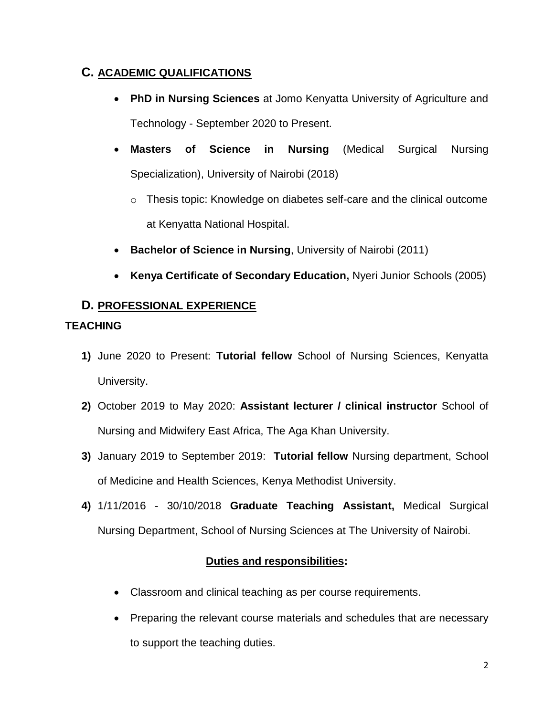# **C. ACADEMIC QUALIFICATIONS**

- **PhD in Nursing Sciences** at Jomo Kenyatta University of Agriculture and Technology - September 2020 to Present.
- **Masters of Science in Nursing** (Medical Surgical Nursing Specialization), University of Nairobi (2018)
	- o Thesis topic: Knowledge on diabetes self-care and the clinical outcome at Kenyatta National Hospital.
- **Bachelor of Science in Nursing**, University of Nairobi (2011)
- **Kenya Certificate of Secondary Education,** Nyeri Junior Schools (2005)

# **D. PROFESSIONAL EXPERIENCE**

## **TEACHING**

- **1)** June 2020 to Present: **Tutorial fellow** School of Nursing Sciences, Kenyatta University.
- **2)** October 2019 to May 2020: **Assistant lecturer / clinical instructor** School of Nursing and Midwifery East Africa, The Aga Khan University.
- **3)** January 2019 to September 2019: **Tutorial fellow** Nursing department, School of Medicine and Health Sciences, Kenya Methodist University.
- **4)** 1/11/2016 30/10/2018 **Graduate Teaching Assistant,** Medical Surgical Nursing Department, School of Nursing Sciences at The University of Nairobi.

# **Duties and responsibilities:**

- Classroom and clinical teaching as per course requirements.
- Preparing the relevant course materials and schedules that are necessary to support the teaching duties.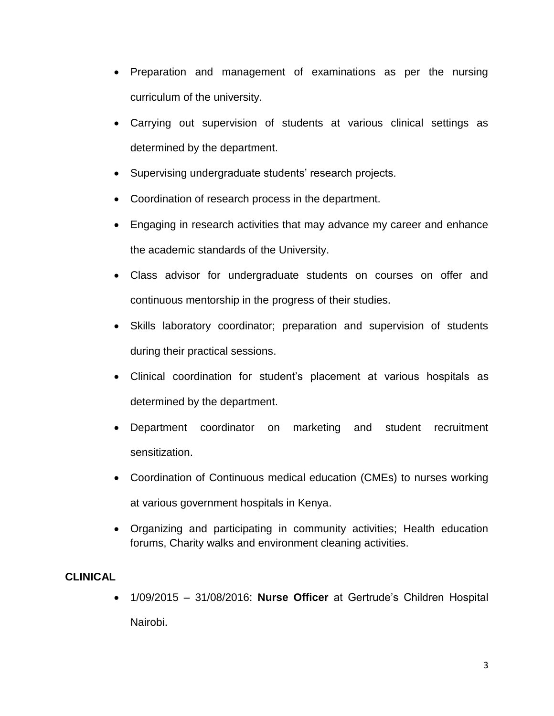- Preparation and management of examinations as per the nursing curriculum of the university.
- Carrying out supervision of students at various clinical settings as determined by the department.
- Supervising undergraduate students' research projects.
- Coordination of research process in the department.
- Engaging in research activities that may advance my career and enhance the academic standards of the University.
- Class advisor for undergraduate students on courses on offer and continuous mentorship in the progress of their studies.
- Skills laboratory coordinator; preparation and supervision of students during their practical sessions.
- Clinical coordination for student's placement at various hospitals as determined by the department.
- Department coordinator on marketing and student recruitment sensitization.
- Coordination of Continuous medical education (CMEs) to nurses working at various government hospitals in Kenya.
- Organizing and participating in community activities; Health education forums, Charity walks and environment cleaning activities.

## **CLINICAL**

 1/09/2015 – 31/08/2016: **Nurse Officer** at Gertrude's Children Hospital Nairobi.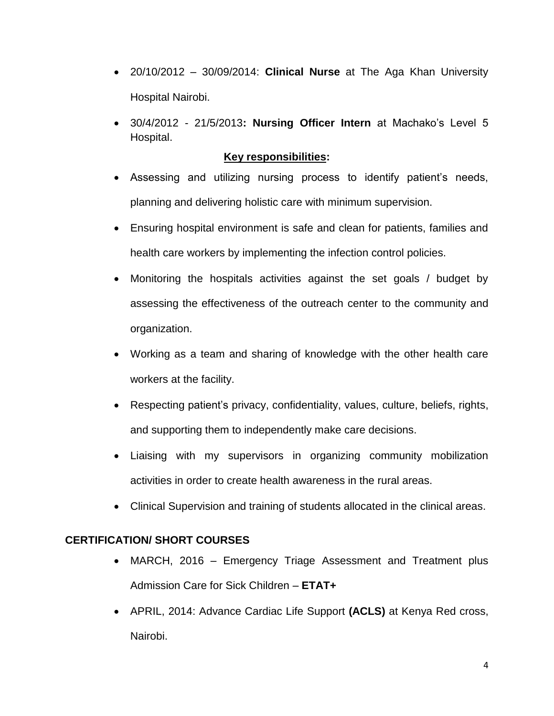- 20/10/2012 30/09/2014: **Clinical Nurse** at The Aga Khan University Hospital Nairobi.
- 30/4/2012 21/5/2013**: Nursing Officer Intern** at Machako's Level 5 Hospital.

## **Key responsibilities:**

- Assessing and utilizing nursing process to identify patient's needs, planning and delivering holistic care with minimum supervision.
- Ensuring hospital environment is safe and clean for patients, families and health care workers by implementing the infection control policies.
- Monitoring the hospitals activities against the set goals / budget by assessing the effectiveness of the outreach center to the community and organization.
- Working as a team and sharing of knowledge with the other health care workers at the facility.
- Respecting patient's privacy, confidentiality, values, culture, beliefs, rights, and supporting them to independently make care decisions.
- Liaising with my supervisors in organizing community mobilization activities in order to create health awareness in the rural areas.
- Clinical Supervision and training of students allocated in the clinical areas.

## **CERTIFICATION/ SHORT COURSES**

- MARCH, 2016 Emergency Triage Assessment and Treatment plus Admission Care for Sick Children – **ETAT+**
- APRIL, 2014: Advance Cardiac Life Support **(ACLS)** at Kenya Red cross, Nairobi.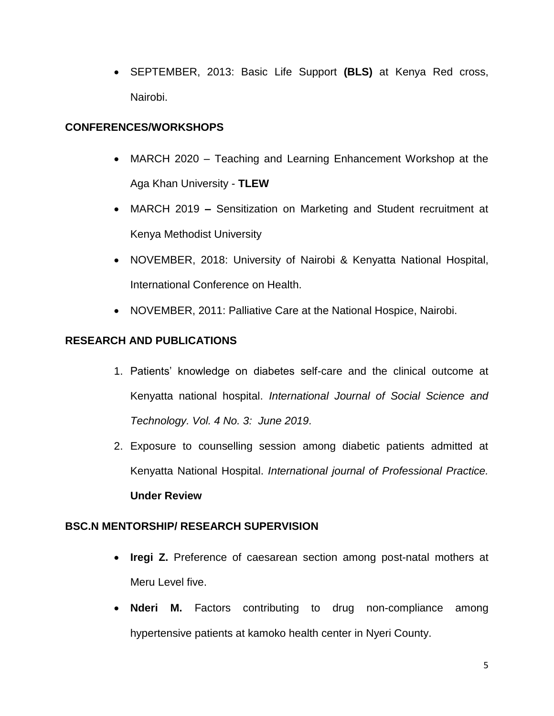SEPTEMBER, 2013: Basic Life Support **(BLS)** at Kenya Red cross, Nairobi.

## **CONFERENCES/WORKSHOPS**

- MARCH 2020 Teaching and Learning Enhancement Workshop at the Aga Khan University - **TLEW**
- MARCH 2019 **–** Sensitization on Marketing and Student recruitment at Kenya Methodist University
- NOVEMBER, 2018: University of Nairobi & Kenyatta National Hospital, International Conference on Health.
- NOVEMBER, 2011: Palliative Care at the National Hospice, Nairobi.

## **RESEARCH AND PUBLICATIONS**

- 1. Patients' knowledge on diabetes self-care and the clinical outcome at Kenyatta national hospital. *International Journal of Social Science and Technology. Vol. 4 No. 3: June 2019.*
- 2. Exposure to counselling session among diabetic patients admitted at Kenyatta National Hospital. *International journal of Professional Practice.* **Under Review**

#### **BSC.N MENTORSHIP/ RESEARCH SUPERVISION**

- **Iregi Z.** Preference of caesarean section among post-natal mothers at Meru Level five.
- **Nderi M.** Factors contributing to drug non-compliance among hypertensive patients at kamoko health center in Nyeri County.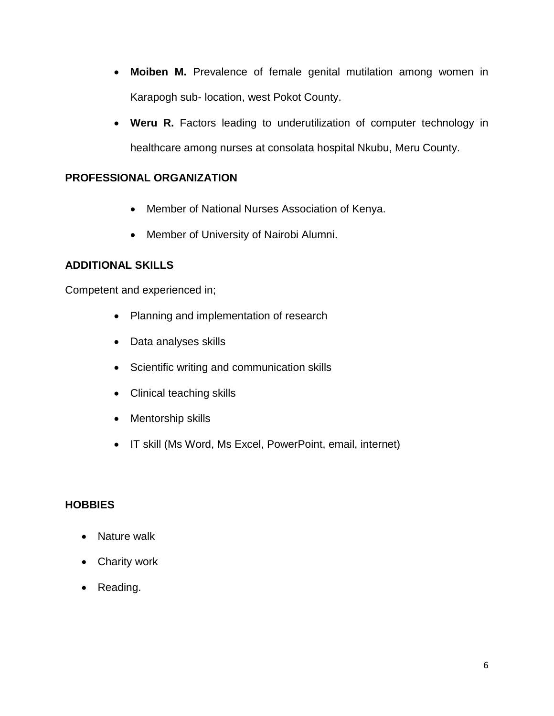- **Moiben M.** Prevalence of female genital mutilation among women in Karapogh sub- location, west Pokot County.
- Weru R. Factors leading to underutilization of computer technology in healthcare among nurses at consolata hospital Nkubu, Meru County.

## **PROFESSIONAL ORGANIZATION**

- Member of National Nurses Association of Kenya.
- Member of University of Nairobi Alumni.

## **ADDITIONAL SKILLS**

Competent and experienced in;

- Planning and implementation of research
- Data analyses skills
- Scientific writing and communication skills
- Clinical teaching skills
- Mentorship skills
- IT skill (Ms Word, Ms Excel, PowerPoint, email, internet)

## **HOBBIES**

- Nature walk
- Charity work
- Reading.